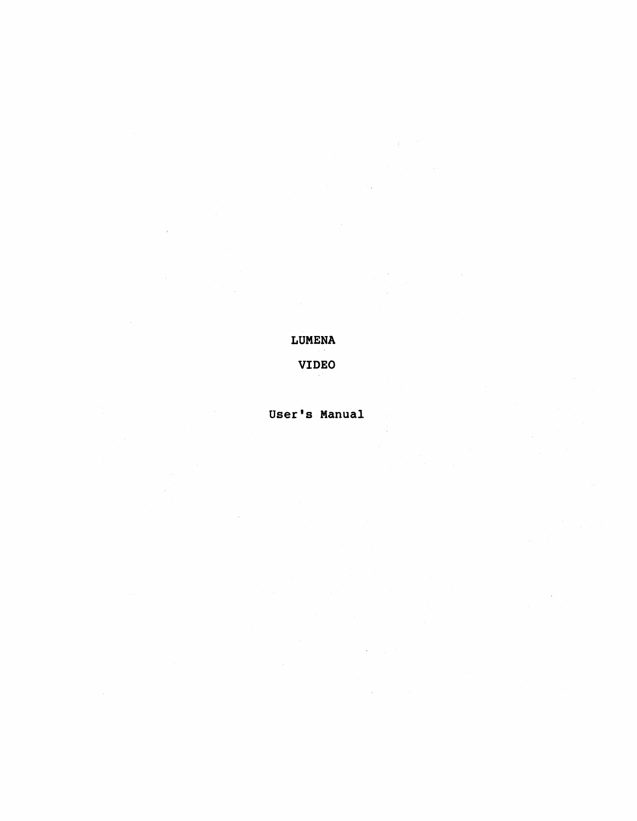LUMENA

VIDEO

User's Manual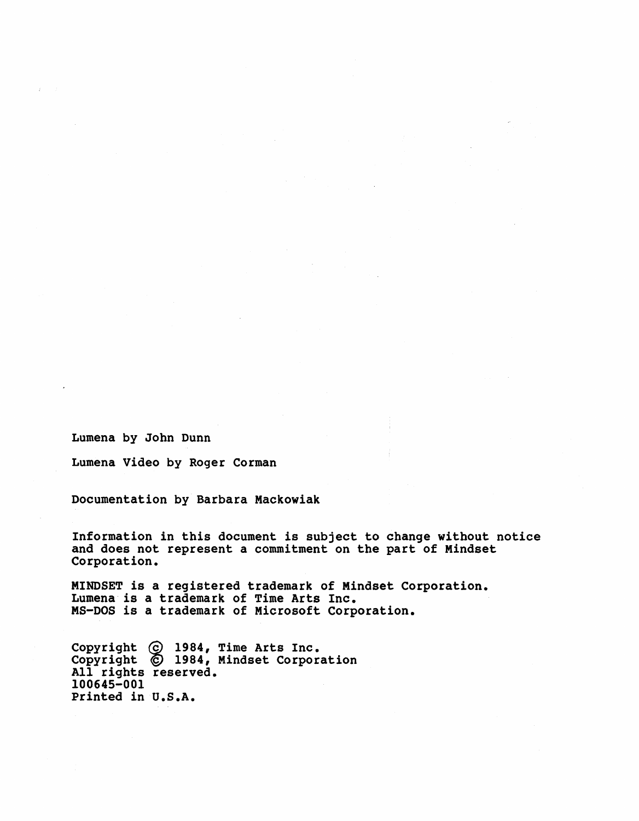Lumena by John Dunn

Lumena Video by Roger Corman

Documentation by Barbara Mackowiak

Information in this document is subject to change without notice and does not represent a commitment on the part of Mindset Corporation.

MINDSET is a registered trademark of Mindset Corporation. Lumena is a trademark of Time Arts Inc. MS-DOS is a trademark of Microsoft Corporation.

Copyright @ 1984, Time Arts Inc. Copyright  $\bigcirc$  1984, Mindset Corporation<br>All rights reserved. 100645-001 Printed in U.S.A.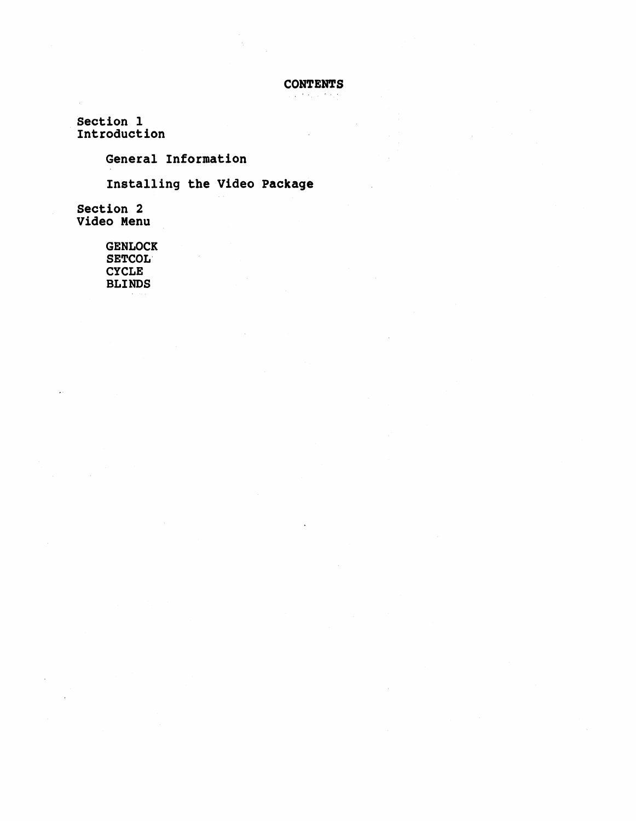**CONTENTS** 

Section 1 Introduction

General Information

Installing the Video Package

Section 2 Video Menu

> GENLOCK SETCOL" **CYCLE** BLINDS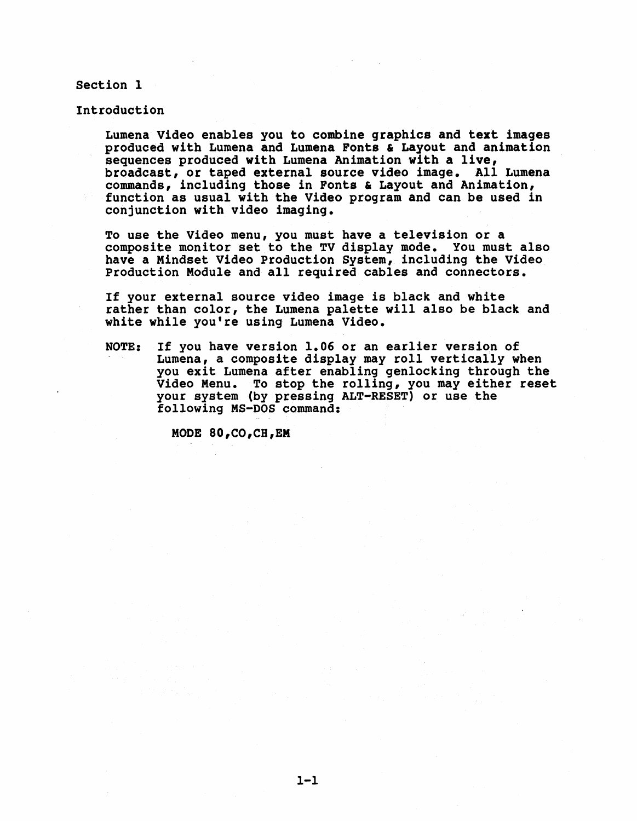Section 1

Introduction

Lumena Video enables you to combine graphics and text images produced with Lumena and Lumena Fonts & Layout and animation sequences produced with Lumena Animation with a live, broadcast, or taped external source video image. All Lumena commands, including those in Fonts & Layout and Animation, function as usual with the Video program and can be used in conjunction with video imaging.

To use the Video menu, you must have a television or a composite monitor set to the TV display mode. You must also have a Mindset Video Production System, including the Video Production Module and all required cables and connectors.

If your external source video image is black and white rather than color, the Lumena palette will also be black and white while you're using Lumena Video.

NOTE: If you have version 1.06 or an earlier version of Lumena, a composite display may roll vertically when you exit Lumena after enabling genlocking through the Video Menu. To stop the rolling, you may either reset your system (by pressing ALT-RESET) or use the following MS-DOS command:

MODE 80,CO,CH,EM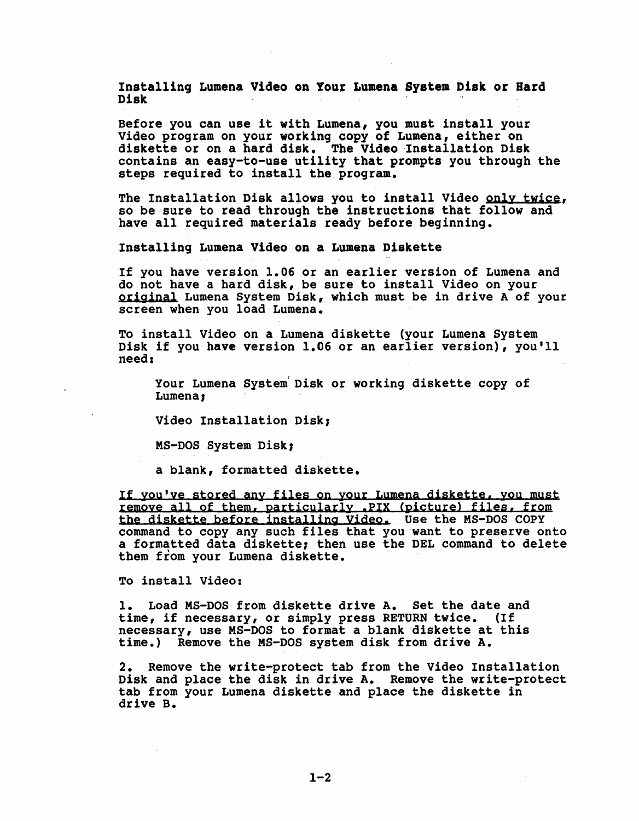Installing Lumena Video on Your Lumena System Disk or Hard bhbcenbeng mumine tract in four mumine system b<br>Disk

Before you can use it with Lumena, you must install your<br>Video program on your working copy of Lumena, either on diskette or on a hard disk. The Video 'Installation Disk contains an easy-to-use utility that prompts you through the steps required to install the program.

The Installation Disk allows you to install Video only twice, so be sure to read through the instructions that follow and have all required materials ready before beginning.

Installing Lumena Video on a Lumena Diskette

If you have version 1.06 or an earlier version of Lumena and<br>do not have a hard disk, be sure to install Video on your original Lumena System Disk, which must be in drive A of your screen when you load Lumena.

To install Video on a Lumena diskette (your Lumena System Disk if you have version 1.06 or an earlier version), you'll need:

Your Lumena System Disk or working diskette copy of Lumena,

Video Installation Disk,

MS-DOS System Disk,

a blank, formatted diskette.

If you've stored any files on your Lumena diskette, you must remove all of them, particularly .PIX (picture) files, from the diskette before installing Video. Use the MS-DOS COPY command to copy any such files that you want to preserve onto a formatted data diskette; then use the DEL command to delete them from your Lumena diskette.

To install Video:

1. Load MS-DOS from diskette drive A. Set the date and time, if necessary, or simply press RETURN twice. (If necessary, use MS-DOS to format a blank diskette at this time.) Remove the MS-DOS system disk from drive A.

2. Remove the write-protect tab from the Video Installation Disk and place the disk in drive A. Remove the write-protect tab from your Lumena diskette and place the diskette in drive B.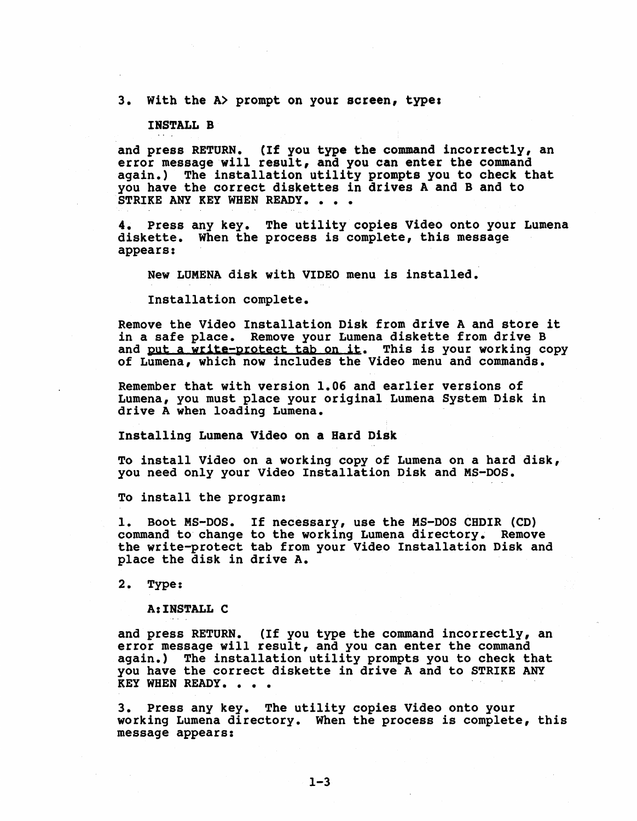# 3. With the A> prompt on your screen, type:

# INSTALL B

and press RETURN. (If you type the command incorrectly, an error message will result, and you can enter the command again.) The installation utility prompts you to check that you have the correct diskettes in drives A and B and to STRIKE ANY KEY WHEN READY. . . .

4. Press any key. The utility copies Video onto your Lumena diskette. When the process is complete, this message appears:

New LUMENA disk with VIDEO menu is installed.

Installation complete.

Remove the Video Installation Disk from drive A and store it in a safe place. Remove your Lumena diskette from drive B and <u>put a write-protect tab on it</u>. This is your working copy of Lumena, which now includes the Video menu and commands.

Remember that with version 1.06 and earlier versions of Lumena, you must place your original Lumena System Disk in drive A when loading Lumena.

Installing Lumena Video on a Hard Disk

To install video on a working copy of Lumena on a hard disk, you need only your Video Installation Disk and MS-DOS.

To install the program:

1. Boot MS-DOS. If necessary, use the MS-DOS CHDIR (CD) command to change to the working Lumena directory. Remove the write-protect tab from your Video Installation Disk and place the disk in drive A.

2. Type:

A:INSTALL C

and press RETURN. (If you type the command incorrectly, an error message will result, and you can enter the command again.) The installation utility prompts you to check that you have the correct diskette in drive A and to STRIKE ANY<br>KEY WHEN READY. . . .

3. Press any key. The utility copies Video onto your working Lumena directory. When the process is complete, this message appears: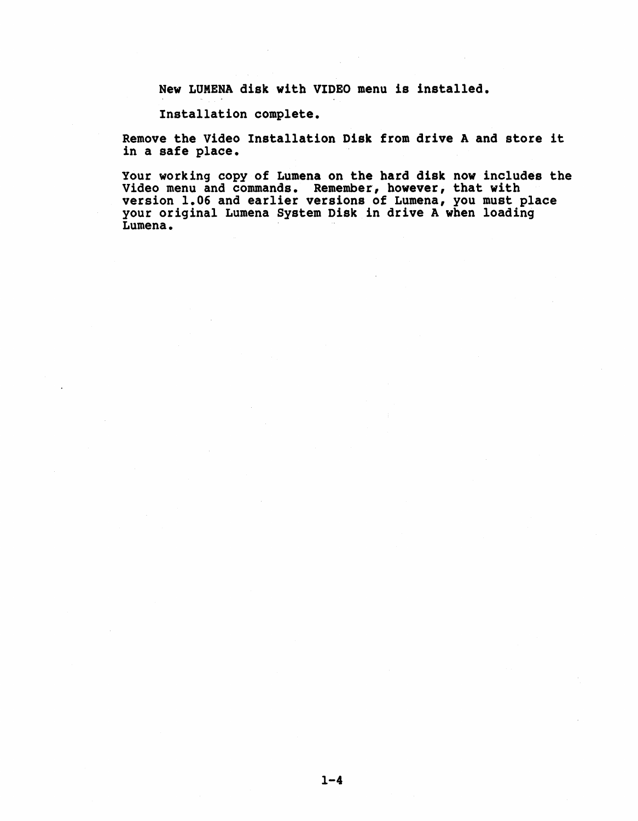New LUMENA disk with VIDEO menu is installed.

Installation complete.

Remove the Video Installation Disk from drive A and store it in a safe place.

Your working copy of Lumena on the hard disk now includes the Video menu and commands. Remember, however, that with version 1.06 and earlier versions of Lumena, you must place your original Lumena System Disk in drive A when loading<br>Lumena.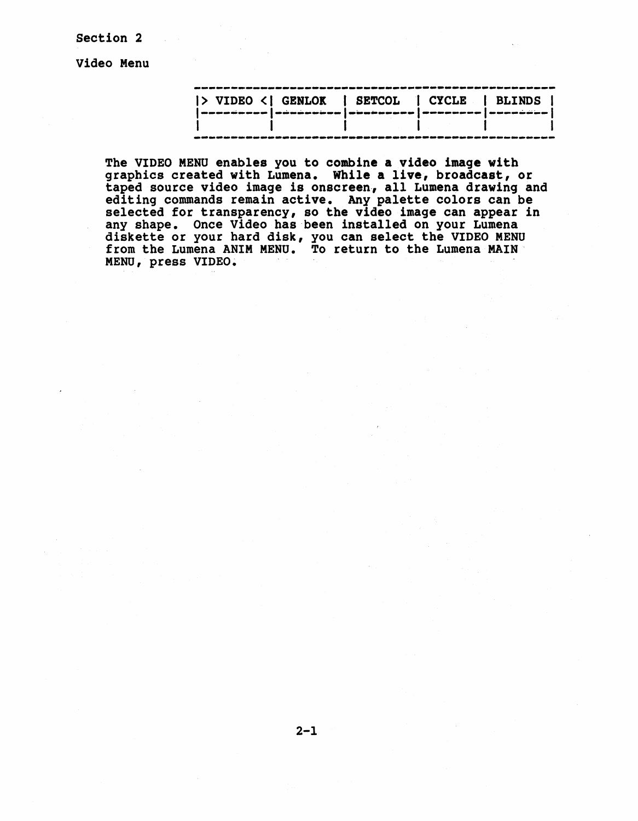section 2

Video Menu

| > VIDEO <  GENLOK   SETCOL   CYCLE   BLINDS                        |                                                                                                               |  |
|--------------------------------------------------------------------|---------------------------------------------------------------------------------------------------------------|--|
| mnosinoso   súnčarojno   postarojno   mnosino   mnosino   suricija |                                                                                                               |  |
|                                                                    |                                                                                                               |  |
|                                                                    | ة الليك جنبت منها جلبت محلة منها محدة النباة في الليك محدة لقلب منها لقلب منها الليك محد محدة منها فلعة ملينة |  |

The VIDEO MENU enables you to combine a video image with graphics created with Lumena. While a live, broadcast, or taped source video image is onscreen, all Lumena drawing and editing commands remain active. Any palette colors can be selected for transparency, so the video image can appear in any shape. Once Video has been installed on your Lumena diskette or your hard disk, you can select the VIDEO MENU from the Lumena ANIM MENU. To return to the Lumena MAIN' MENU, press VIDEO.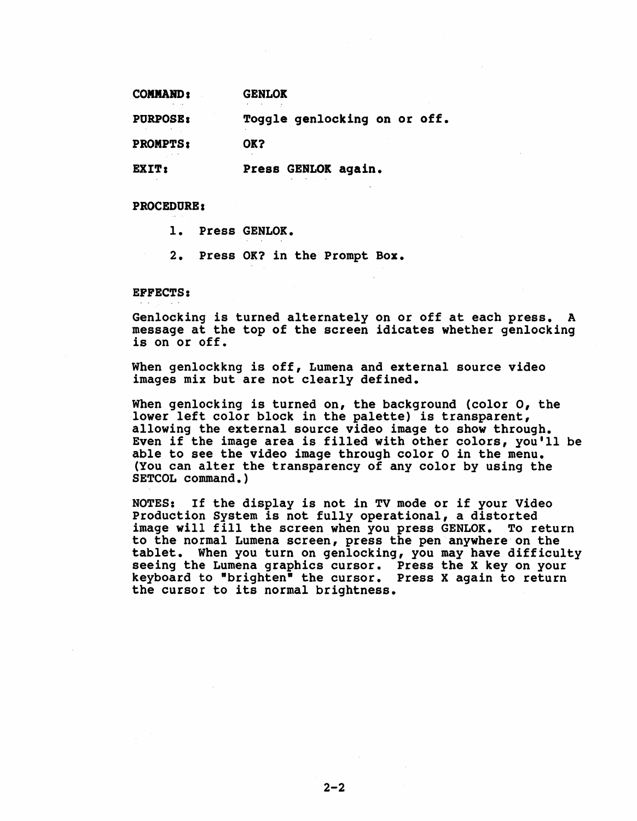| <b>COMMAND:</b> | <b>GENLOK</b>                |  |
|-----------------|------------------------------|--|
| <b>PURPOSE:</b> | Toggle genlocking on or off. |  |
| <b>PROMPTS:</b> | OK?                          |  |
| EXIT:           | Press GENLOK again.          |  |

PROCEDURE I

1. Press GENLOK.

2. Press OK? in the Prompt Box.

EFFECTS:

Genlocking is turned alternately on or off at each press. A message at the top of the screen idicates whether genlocking is on or off.

When genlockkng is off, Lumena and external source video images mix but are not clearly defined.

When genlocking is turned on, the background (color 0, the lower left color block in the palette) is transparent, allowing the external source video image to show through. Even if the image area is filled with other colors, you'll be able to see the video image through color 0 in the menu. (You can alter the transparency of any color by using the SETCOL command.)

NOTES: If the display is not in TV mode or if your Video Production System is not fully operational, a distorted image will fill the screen when you press GENLOK. To return to the normal Lumena screen, press the pen anywhere on the tablet. When you turn on genlocking, you may have difficulty seeing the Lumena graphics cursor. Press the X key on your keyboard to "brighten" the cursor. Press X again to return the cursor to its normal brightness.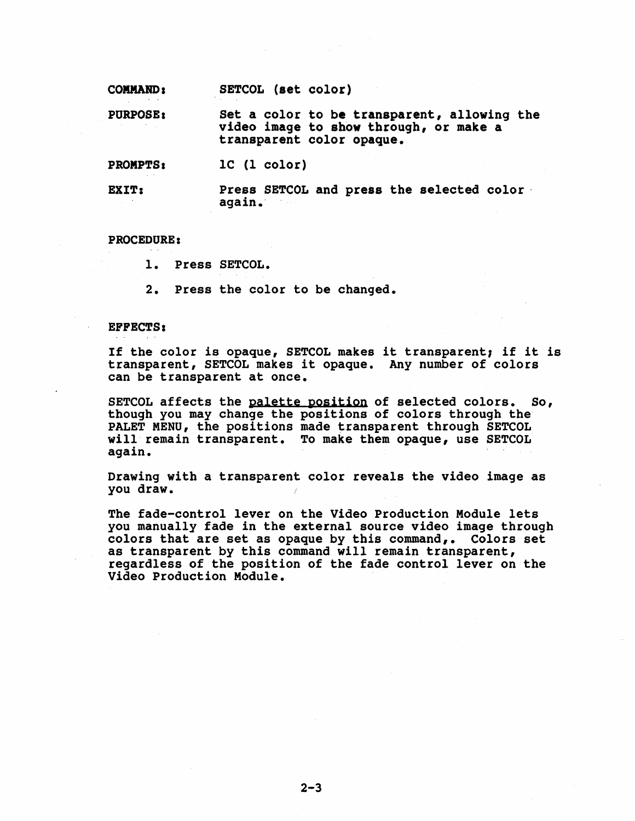COMMAND I SETCOL (set color)

PURPOSE I set a color to be transparent, allowing the video image to show through, or make a transparent color opaque.

PROMPTS. lC (1 color)

EXIT: Press SETCOL and press the selected color again.'

# PROCEDURE:

1. Press SETCOL.

2. Press the color to be changed.

# EFFECTS:

If the color is opaque, SETCOL makes it transparent, if it is transparent, SETCOL makes it opaque. Any number of colors can be transparent at once.

SETCOL affects the palette position of selected colors. So, though you may change the positions of colors through the PALET MENU, the positions made transparent through SETCOL will remain transparent. To make them opaque, use SETCOL again.

Drawing with a transparent color reveals the video image as you draw.

The fade-control lever on the Video Production Module lets<br>you manually fade in the external source video image through colors that are set as opaque by this command,. Colors set as transparent by this command will remain transparent, regardless of the position of the fade control lever on the Video Production Module.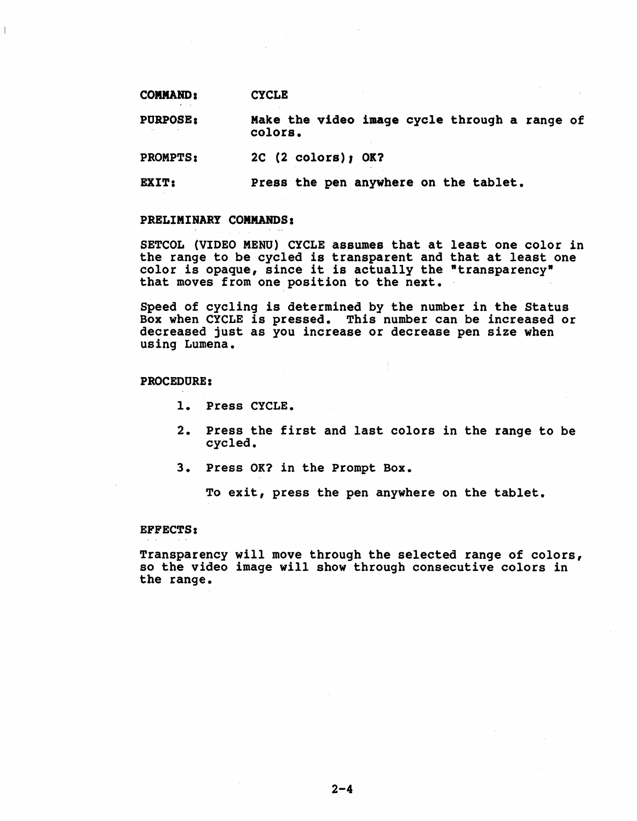COMMAND, **CYCLE** 

PURPOSE, Make the video image cycle through a range of colors.

PROMPTS: 2C (2 colors), OK?

EXIT: Press the pen anywhere on the tablet.

# PRELIMINARY COMMANDS:

SETCOL (VIDEO MENU) CYCLE assumes that at least one color in the range to be cycled is transparent and that at least one che range to be cycled is transparent and that at least<br>color is opaque, since it is actually the "transparency"<br>that moves from one position to the next.

Speed of cycling is determined by the number in the Status Box when CYCLE is pressed. This number can be increased or decreased just as you increase or decrease pen size when using Lumena.

# PROCEDURE:

- 1. Press CYCLE.
- 2. Press the first and last colors in the range to be cycled.
- 3. Press OK? in the Prompt Box.

To exit, press the pen anywhere on the tablet.

#### EFFECTS:

Transparency will move through the selected range of colors, so the video image will show through consecutive colors in the range.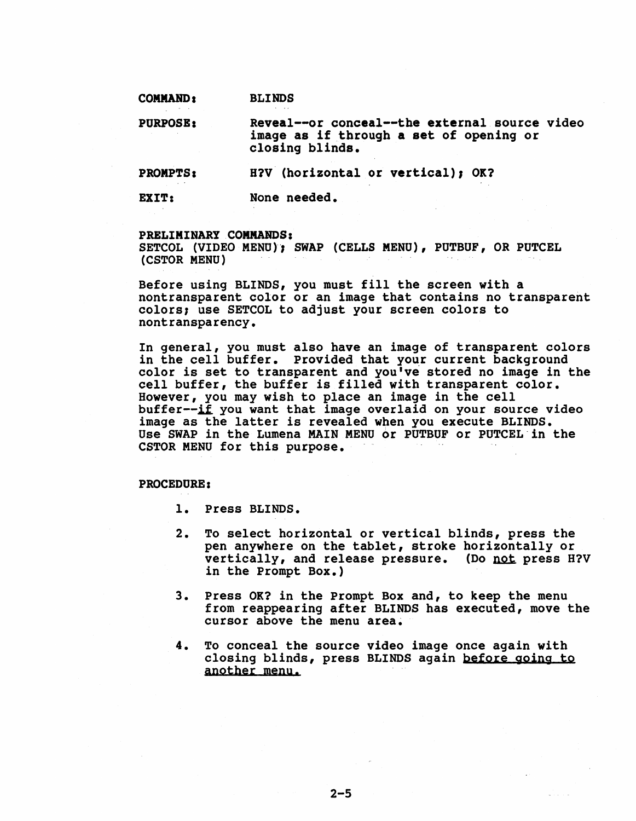# COMMAND: **BLINDS**

PURPOSB: Reveal--or conceal--the external source video image as if through a set of opening or closing blinds.

PROMPTS: H?V (horizontal or vertical), OK?

EXIT: None needed.

#### PRELIMINARY COMMANDS:

SETCOL (VIDEO MENU); SWAP (CELLS MENU), PUTBUF, OR PUTCEL (CSTOR MENU)

Before using BLINDS, you must fill the screen with a nontransparent color or an image that contains no transparent colors; use SETCOL to adjust your screen colors to nontransparency.

In general, you must also have an image of transparent colors<br>in the cell buffer. Provided that your current background color is set to transparent and you've stored no image in the cell buffer, the buffer is filled with transparent color. However, you may wish to place an image in the cell buffer $-\mathrm{i}\tilde{f}$  you want that image overlaid on your source video image as the latter is revealed when you execute BLINDS. Use SWAP in the Lumena MAIN MENU or PUTBUF or PUTCEL"in the CSTOR MENU for this purpose.

## PROCEDURE:

- 1. Press BLINDS.
- 2. To select horizontal or vertical blinds, press the pen anywhere on the tablet, stroke horizontally or vertically, and release pressure. (Do not press H?V in the Prompt Box.)
- 3. Press OK? in the Prompt Box and, to keep the menu from reappearing after BLINDS has executed, move the cursor above the menu area.
- 4. To conceal the source video image once again with closing blinds, press BLINDS again before going to another menu.